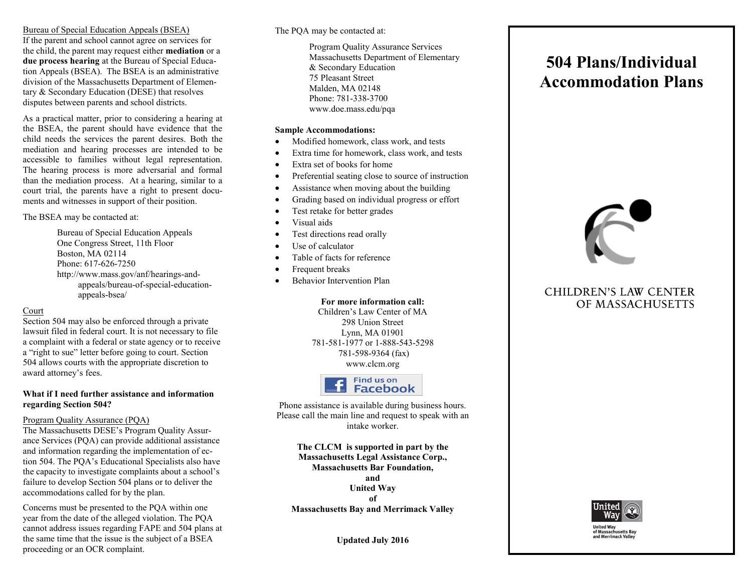# Bureau of Special Education Appeals (BSEA)

If the parent and school cannot agree on services for the child, the parent may request either **mediation** or a **due process hearing** at the Bureau of Special Education Appeals (BSEA). The BSEA is an administrative division of the Massachusetts Department of Elementary & Secondary Education (DESE) that resolves disputes between parents and school districts.

As a practical matter, prior to considering a hearing at the BSEA, the parent should have evidence that the child needs the services the parent desires. Both the mediation and hearing processes are intended to be accessible to families without legal representation. The hearing process is more adversarial and formal than the mediation process. At a hearing, similar to a court trial, the parents have a right to present documents and witnesses in support of their position.

The BSEA may be contacted at:

Bureau of Special Education Appeals One Congress Street, 11th Floor Boston, MA 02114 Phone: 617-626-7250 http://www.mass.gov/anf/hearings-andappeals/bureau-of-special-educationappeals-bsea/

# Court

Section 504 may also be enforced through a private lawsuit filed in federal court. It is not necessary to file a complaint with a federal or state agency or to receive a "right to sue" letter before going to court. Section 504 allows courts with the appropriate discretion to award attorney's fees.

#### **What if I need further assistance and information regarding Section 504?**

# Program Quality Assurance (PQA)

The Massachusetts DESE's Program Quality Assurance Services (PQA) can provide additional assistance and information regarding the implementation of ection 504. The PQA's Educational Specialists also have the capacity to investigate complaints about a school's failure to develop Section 504 plans or to deliver the accommodations called for by the plan.

Concerns must be presented to the PQA within one year from the date of the alleged violation. The PQA cannot address issues regarding FAPE and 504 plans at the same time that the issue is the subject of a BSEA proceeding or an OCR complaint.

# The PQA may be contacted at:

Program Quality Assurance Services Massachusetts Department of Elementary & Secondary Education 75 Pleasant Street Malden, MA 02148 Phone: 781-338-3700 www.doe.mass.edu/pqa

# **Sample Accommodations:**

- Modified homework, class work, and tests
- Extra time for homework, class work, and tests
- Extra set of books for home
- Preferential seating close to source of instruction
- Assistance when moving about the building
- Grading based on individual progress or effort
- Test retake for better grades
- Visual aids
- Test directions read orally
- Use of calculator
- Table of facts for reference
- Frequent breaks
- Behavior Intervention Plan

# **For more information call:**

Children's Law Center of MA 298 Union Street Lynn, MA 01901 781-581-1977 or 1-888-543-5298 781-598-9364 (fax) www.clcm.org



Phone assistance is available during business hours. Please call the main line and request to speak with an intake worker.

**The CLCM is supported in part by the Massachusetts Legal Assistance Corp., Massachusetts Bar Foundation, and United Way of Massachusetts Bay and Merrimack Valley**

**Updated July 2016**

# **504 Plans/Individual Accommodation Plans**



# **CHILDREN'S LAW CENTER** OF MASSACHUSETTS



**United Way** of Massachusetts Bay<br>and Merrimack Valley